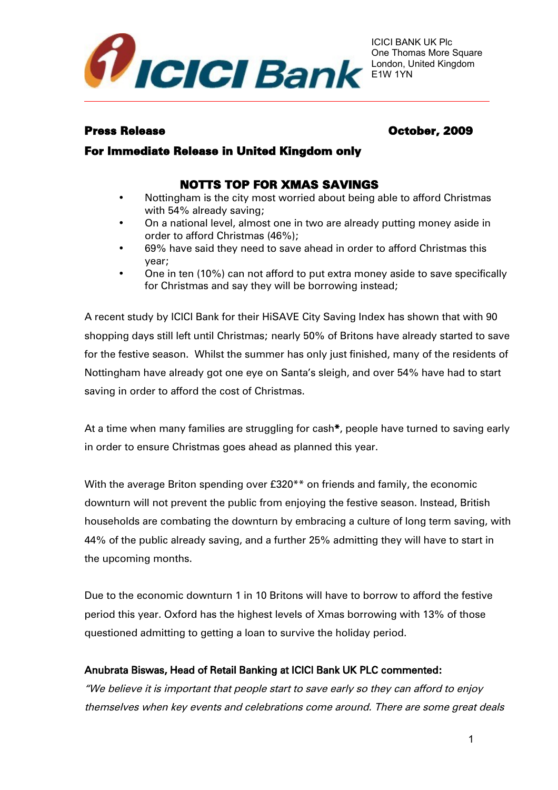

## Press Release **October, 2009**

## For Immediate Release in United Kingdom only

# NOTTS TOP FOR XMAS SAVINGS

- Nottingham is the city most worried about being able to afford Christmas with 54% already saving;
- On a national level, almost one in two are already putting money aside in order to afford Christmas (46%);
- 69% have said they need to save ahead in order to afford Christmas this year;
- One in ten (10%) can not afford to put extra money aside to save specifically for Christmas and say they will be borrowing instead;

A recent study by ICICI Bank for their HiSAVE City Saving Index has shown that with 90 shopping days still left until Christmas; nearly 50% of Britons have already started to save for the festive season. Whilst the summer has only just finished, many of the residents of Nottingham have already got one eye on Santa's sleigh, and over 54% have had to start saving in order to afford the cost of Christmas.

At a time when many families are struggling for cash\*, people have turned to saving early in order to ensure Christmas goes ahead as planned this year.

With the average Briton spending over £320\*\* on friends and family, the economic downturn will not prevent the public from enjoying the festive season. Instead, British households are combating the downturn by embracing a culture of long term saving, with 44% of the public already saving, and a further 25% admitting they will have to start in the upcoming months.

Due to the economic downturn 1 in 10 Britons will have to borrow to afford the festive period this year. Oxford has the highest levels of Xmas borrowing with 13% of those questioned admitting to getting a loan to survive the holiday period.

## Anubrata Biswas, Head of Retail Banking at ICICI Bank UK PLC commented:

"We believe it is important that people start to save early so they can afford to enjoy themselves when key events and celebrations come around. There are some great deals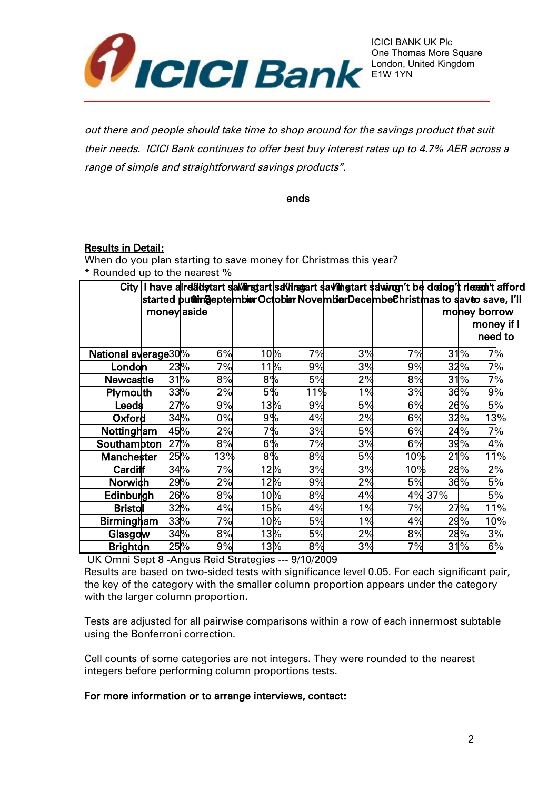

out there and people should take time to shop around for the savings product that suit their needs. ICICI Bank continues to offer best buy interest rates up to 4.7% AER across a range of simple and straightforward savings products".

ends

#### Results in Detail:

When do you plan starting to save money for Christmas this year? \* Rounded up to the nearest %

|                     |             | City I have a realist start start start start start start start start start to the dad by the meth fafford |        |     |    |     |        |               |         |
|---------------------|-------------|------------------------------------------------------------------------------------------------------------|--------|-----|----|-----|--------|---------------|---------|
|                     |             | started pu <b>tim@</b> eptembierOctobierNovembierDecembeChristmas to saveo save, I'll                      |        |     |    |     |        |               |         |
|                     | money aside |                                                                                                            |        |     |    |     |        | money borrow  |         |
|                     |             |                                                                                                            |        |     |    |     |        | money if I    |         |
|                     |             |                                                                                                            |        |     |    |     |        |               | need to |
| National average30% |             | 6%                                                                                                         | $10\%$ | 7%  | 3% | 7%  | 31     | $\frac{9}{6}$ | 7%      |
| London              |             | 7%<br>23%                                                                                                  | $11\%$ | 9%  | 3% | 9%  |        | 32%           | 7%      |
| <b>Newcastle</b>    |             | 31%<br>8%                                                                                                  | 8%     | 5%  | 2% | 8%  | 31     | $\frac{9}{6}$ | 7%      |
| Plymouth            |             | 33%<br>2%                                                                                                  | 5%     | 11% | 1% | 3%  |        | 36%<br>9%     |         |
| Leeds               |             | 27%<br>9%                                                                                                  | $13\%$ | 9%  | 5% | 6%  |        | 5%<br>26%     |         |
| Oxford              |             | 34%<br>0%                                                                                                  | 9%     | 4%  | 2% | 6%  |        | 32%           | 13%     |
| Nottingham          |             | 45%<br>2%                                                                                                  | 7%     | 3%  | 5% | 6%  |        | 24%           | 7%      |
| Southampton         |             | 8%<br>27%                                                                                                  | 6%     | 7%  | 3% | 6%  |        | 39%<br>4%     |         |
| Manchester          |             | 25%<br>13%                                                                                                 | $8\%$  | 8%  | 5% | 10% | 21     | $\frac{9}{6}$ | $11\%$  |
| <b>Cardiff</b>      |             | 7%<br>34%                                                                                                  | $12\%$ | 3%  | 3% | 10% |        | 2%<br>28%     |         |
| Norwich             |             | 29%<br>2%                                                                                                  | $12\%$ | 9%  | 2% | 5%  |        | 5%<br>36%     |         |
| Edinburgh           |             | 26%<br>8%                                                                                                  | $10\%$ | 8%  | 4% |     | 4% 37% | 5%            |         |
| <b>Bristoll</b>     |             | 32%<br>4%                                                                                                  | 15%    | 4%  | 1% | 7%  |        | 27%           | $11\%$  |
| <b>Birmingham</b>   |             | 33%<br>7%                                                                                                  | $10\%$ | 5%  | 1% | 4%  |        | 29%           | 10%     |
| Glasgow             |             | 8%<br>34%                                                                                                  | $13\%$ | 5%  | 2% | 8%  |        | 3%<br>28%     |         |
| <b>Brighton</b>     |             | 25%<br>9%                                                                                                  | $13\%$ | 8%  | 3% | 7%  |        | 31%<br>6%     |         |

UK Omni Sept 8 -Angus Reid Strategies --- 9/10/2009

Results are based on two-sided tests with significance level 0.05. For each significant pair, the key of the category with the smaller column proportion appears under the category with the larger column proportion.

Tests are adjusted for all pairwise comparisons within a row of each innermost subtable using the Bonferroni correction.

Cell counts of some categories are not integers. They were rounded to the nearest integers before performing column proportions tests.

#### For more information or to arrange interviews, contact: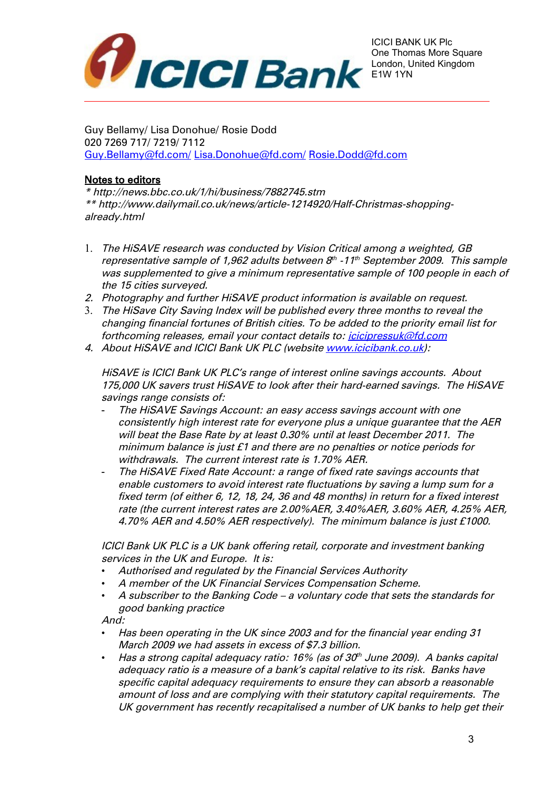

Guy Bellamy/ Lisa Donohue/ Rosie Dodd 020 7269 717/ 7219/ 7112 [Guy.Bellamy@fd.com/](mailto:Guy.Bellamy@fd.com/) [Lisa.Donohue@fd.com/](mailto:Lisa.Donohue@fd.com/) Rosie.Dodd@fd.com

### Notes to editors

\* http://news.bbc.co.uk/1/hi/business/7882745.stm \*\* http://www.dailymail.co.uk/news/article-1214920/Half-Christmas-shoppingalready.html

- 1. The HiSAVE research was conducted by Vision Critical among a weighted, GB representative sample of 1,962 adults between 8<sup>th</sup> -11<sup>th</sup> September 2009. This sample was supplemented to give a minimum representative sample of 100 people in each of the 15 cities surveyed.
- 2. Photography and further HiSAVE product information is available on request.
- 3. The HiSave City Saving Index will be published every three months to reveal the changing financial fortunes of British cities. To be added to the priority email list for forthcoming releases, email your contact details to: *icicipressuk@fd.com*
- 4. About HiSAVE and ICICI Bank UK PLC (website [www.icicibank.co.uk\)](http://www.icicibank.co.uk/):

HiSAVE is ICICI Bank UK PLC's range of interest online savings accounts. About 175,000 UK savers trust HiSAVE to look after their hard-earned savings. The HiSAVE savings range consists of:

- The HiSAVE Savings Account: an easy access savings account with one consistently high interest rate for everyone plus a unique guarantee that the AER will beat the Base Rate by at least 0.30% until at least December 2011. The minimum balance is just £1 and there are no penalties or notice periods for withdrawals. The current interest rate is 1.70% AER.
- The HiSAVE Fixed Rate Account: a range of fixed rate savings accounts that enable customers to avoid interest rate fluctuations by saving a lump sum for a fixed term (of either 6, 12, 18, 24, 36 and 48 months) in return for a fixed interest rate (the current interest rates are 2.00%AER, 3.40%AER, 3.60% AER, 4.25% AER, 4.70% AER and 4.50% AER respectively). The minimum balance is just £1000.

ICICI Bank UK PLC is a UK bank offering retail, corporate and investment banking services in the UK and Europe. It is:

- Authorised and regulated by the Financial Services Authority
- A member of the UK Financial Services Compensation Scheme.
- A subscriber to the Banking Code a voluntary code that sets the standards for good banking practice

And:

- Has been operating in the UK since 2003 and for the financial year ending 31 March 2009 we had assets in excess of \$7.3 billion.
- Has a strong capital adequacy ratio: 16% (as of 30 $^{\prime\prime}$  June 2009). A banks capital adequacy ratio is a measure of a bank's capital relative to its risk. Banks have specific capital adequacy requirements to ensure they can absorb a reasonable amount of loss and are complying with their statutory capital requirements. The UK government has recently recapitalised a number of UK banks to help get their